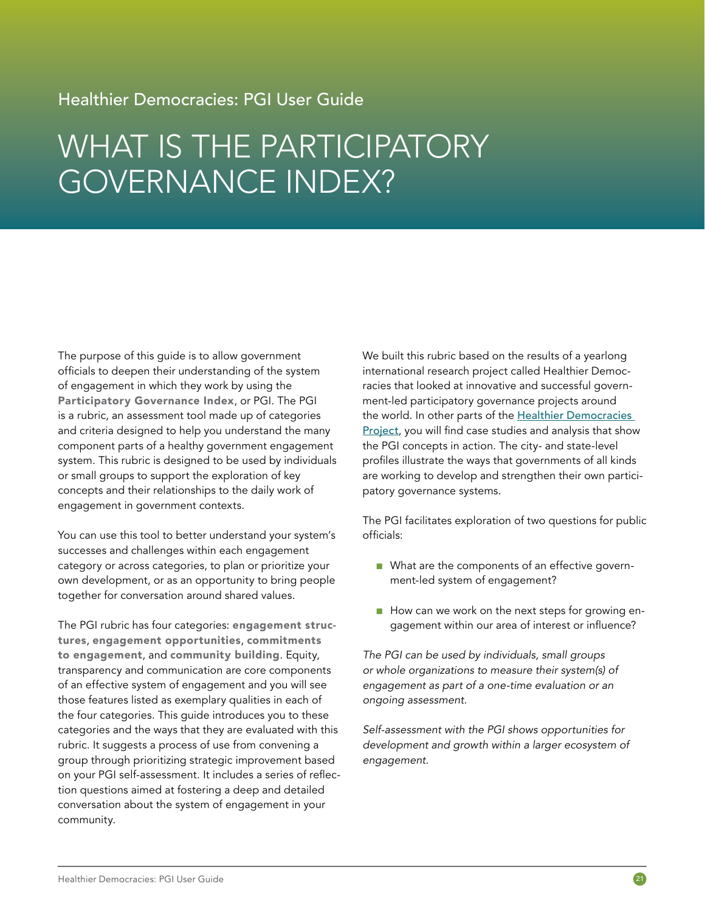## Healthier Democracies: PGI User Guide

# WHAT IS THE PARTICIPATORY GOVERNANCE INDEX?

The purpose of this guide is to allow government officials to deepen their understanding of the system of engagement in which they work by using the Participatory Governance Index, or PGI. The PGI is a rubric, an assessment tool made up of categories and criteria designed to help you understand the many component parts of a healthy government engagement system. This rubric is designed to be used by individuals or small groups to support the exploration of key concepts and their relationships to the daily work of engagement in government contexts.

You can use this tool to better understand your system's successes and challenges within each engagement category or across categories, to plan or prioritize your own development, or as an opportunity to bring people together for conversation around shared values.

The PGI rubric has four categories: engagement structures, engagement opportunities, commitments to engagement, and community building. Equity, transparency and communication are core components of an effective system of engagement and you will see those features listed as exemplary qualities in each of the four categories. This guide introduces you to these categories and the ways that they are evaluated with this rubric. It suggests a process of use from convening a group through prioritizing strategic improvement based on your PGI self-assessment. It includes a series of reflection questions aimed at fostering a deep and detailed conversation about the system of engagement in your community.

We built this rubric based on the results of a yearlong international research project called Healthier Democracies that looked at innovative and successful government-led participatory governance projects around the world. In other parts of the Healthier Democracies [Project](https://publicagenda.org/healthier-democracies), you will find case studies and analysis that show the PGI concepts in action. The city- and state-level profiles illustrate the ways that governments of all kinds are working to develop and strengthen their own participatory governance systems.

The PGI facilitates exploration of two questions for public officials:

- What are the components of an effective government-led system of engagement?
- How can we work on the next steps for growing engagement within our area of interest or influence?

*The PGI can be used by individuals, small groups or whole organizations to measure their system(s) of engagement as part of a one-time evaluation or an ongoing assessment.*

*Self-assessment with the PGI shows opportunities for development and growth within a larger ecosystem of engagement.*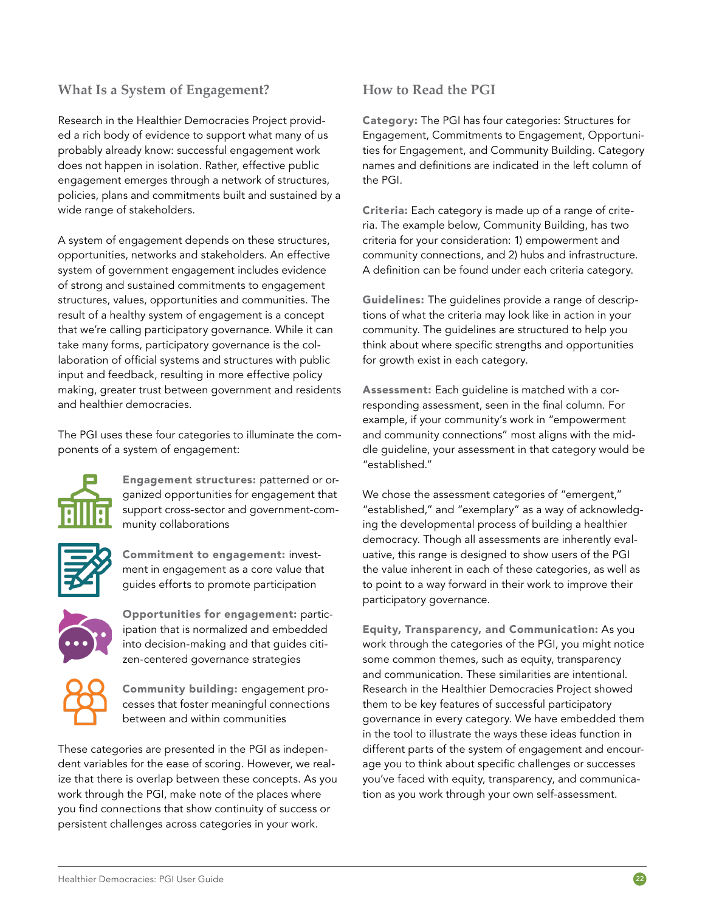### **What Is a System of Engagement?**

Research in the Healthier Democracies Project provided a rich body of evidence to support what many of us probably already know: successful engagement work does not happen in isolation. Rather, effective public engagement emerges through a network of structures, policies, plans and commitments built and sustained by a wide range of stakeholders.

A system of engagement depends on these structures, opportunities, networks and stakeholders. An effective system of government engagement includes evidence of strong and sustained commitments to engagement structures, values, opportunities and communities. The result of a healthy system of engagement is a concept that we're calling participatory governance. While it can take many forms, participatory governance is the collaboration of official systems and structures with public input and feedback, resulting in more effective policy making, greater trust between government and residents and healthier democracies.

The PGI uses these four categories to illuminate the components of a system of engagement:



Engagement structures: patterned or organized opportunities for engagement that support cross-sector and government-community collaborations



Commitment to engagement: investment in engagement as a core value that guides efforts to promote participation



Opportunities for engagement: participation that is normalized and embedded into decision-making and that guides citizen-centered governance strategies



Community building: engagement processes that foster meaningful connections between and within communities

These categories are presented in the PGI as independent variables for the ease of scoring. However, we realize that there is overlap between these concepts. As you work through the PGI, make note of the places where you find connections that show continuity of success or persistent challenges across categories in your work.

### **How to Read the PGI**

Category: The PGI has four categories: Structures for Engagement, Commitments to Engagement, Opportunities for Engagement, and Community Building. Category names and definitions are indicated in the left column of the PGI.

Criteria: Each category is made up of a range of criteria. The example below, Community Building, has two criteria for your consideration: 1) empowerment and community connections, and 2) hubs and infrastructure. A definition can be found under each criteria category.

Guidelines: The guidelines provide a range of descriptions of what the criteria may look like in action in your community. The guidelines are structured to help you think about where specific strengths and opportunities for growth exist in each category.

Assessment: Each guideline is matched with a corresponding assessment, seen in the final column. For example, if your community's work in "empowerment and community connections" most aligns with the middle guideline, your assessment in that category would be "established."

We chose the assessment categories of "emergent," "established," and "exemplary" as a way of acknowledging the developmental process of building a healthier democracy. Though all assessments are inherently evaluative, this range is designed to show users of the PGI the value inherent in each of these categories, as well as to point to a way forward in their work to improve their participatory governance.

Equity, Transparency, and Communication: As you work through the categories of the PGI, you might notice some common themes, such as equity, transparency and communication. These similarities are intentional. Research in the Healthier Democracies Project showed them to be key features of successful participatory governance in every category. We have embedded them in the tool to illustrate the ways these ideas function in different parts of the system of engagement and encourage you to think about specific challenges or successes you've faced with equity, transparency, and communication as you work through your own self-assessment.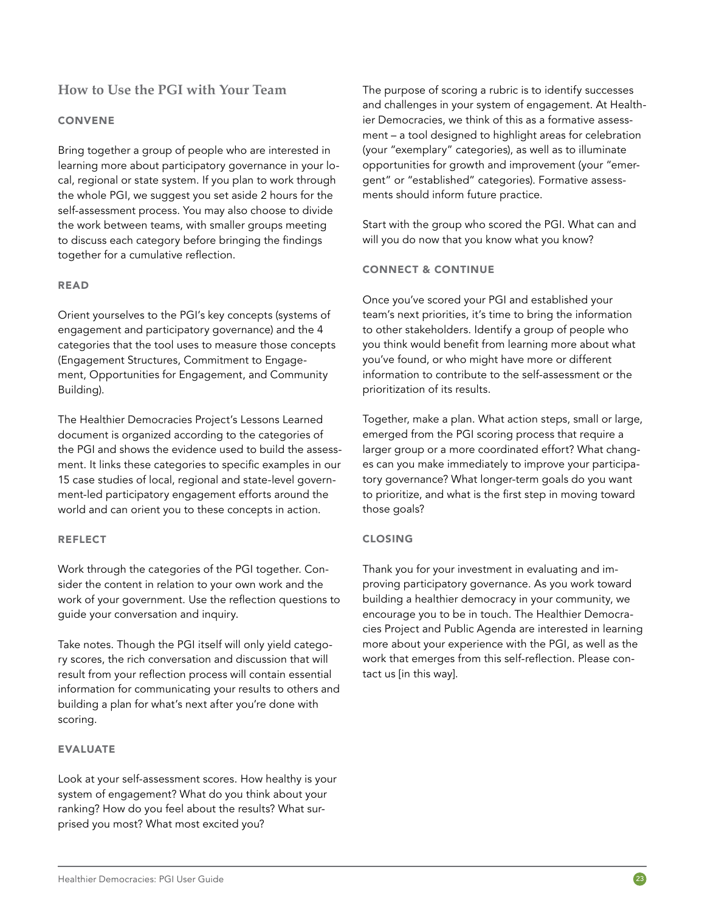### **How to Use the PGI with Your Team**

### CONVENE

Bring together a group of people who are interested in learning more about participatory governance in your local, regional or state system. If you plan to work through the whole PGI, we suggest you set aside 2 hours for the self-assessment process. You may also choose to divide the work between teams, with smaller groups meeting to discuss each category before bringing the findings together for a cumulative reflection.

### READ

Orient yourselves to the PGI's key concepts (systems of engagement and participatory governance) and the 4 categories that the tool uses to measure those concepts (Engagement Structures, Commitment to Engagement, Opportunities for Engagement, and Community Building).

The Healthier Democracies Project's Lessons Learned document is organized according to the categories of the PGI and shows the evidence used to build the assessment. It links these categories to specific examples in our 15 case studies of local, regional and state-level government-led participatory engagement efforts around the world and can orient you to these concepts in action.

### **REFLECT**

Work through the categories of the PGI together. Consider the content in relation to your own work and the work of your government. Use the reflection questions to guide your conversation and inquiry.

Take notes. Though the PGI itself will only yield category scores, the rich conversation and discussion that will result from your reflection process will contain essential information for communicating your results to others and building a plan for what's next after you're done with scoring.

### EVALUATE

Look at your self-assessment scores. How healthy is your system of engagement? What do you think about your ranking? How do you feel about the results? What surprised you most? What most excited you?

The purpose of scoring a rubric is to identify successes and challenges in your system of engagement. At Healthier Democracies, we think of this as a formative assessment – a tool designed to highlight areas for celebration (your "exemplary" categories), as well as to illuminate opportunities for growth and improvement (your "emergent" or "established" categories). Formative assessments should inform future practice.

Start with the group who scored the PGI. What can and will you do now that you know what you know?

### CONNECT & CONTINUE

Once you've scored your PGI and established your team's next priorities, it's time to bring the information to other stakeholders. Identify a group of people who you think would benefit from learning more about what you've found, or who might have more or different information to contribute to the self-assessment or the prioritization of its results.

Together, make a plan. What action steps, small or large, emerged from the PGI scoring process that require a larger group or a more coordinated effort? What changes can you make immediately to improve your participatory governance? What longer-term goals do you want to prioritize, and what is the first step in moving toward those goals?

### CLOSING

Thank you for your investment in evaluating and improving participatory governance. As you work toward building a healthier democracy in your community, we encourage you to be in touch. The Healthier Democracies Project and Public Agenda are interested in learning more about your experience with the PGI, as well as the work that emerges from this self-reflection. Please contact us [in this way].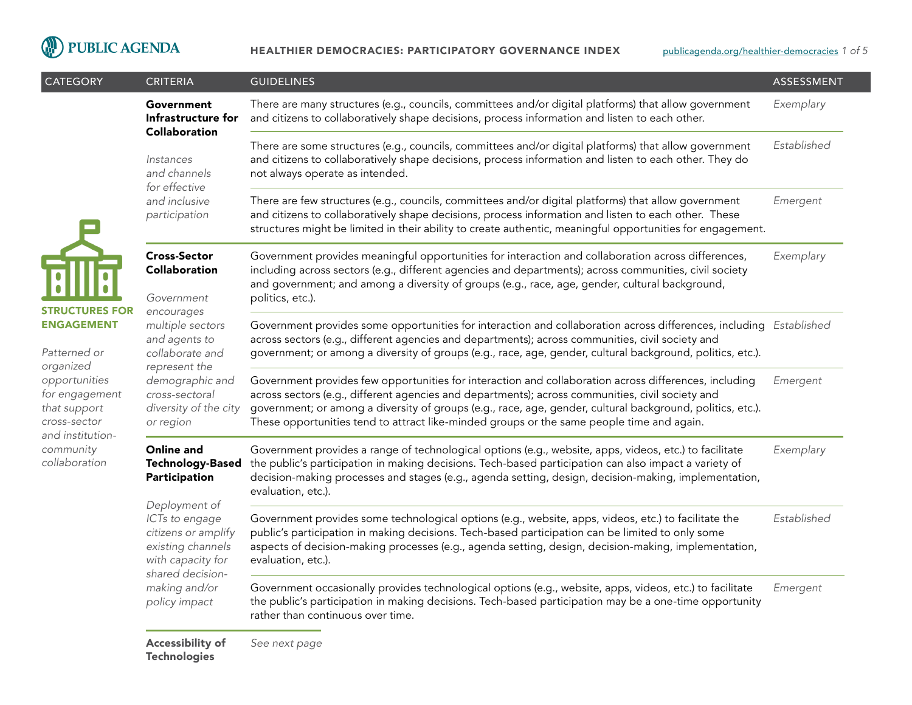

| <b>CATEGORY</b>                                                                                                                                                                              | <b>CRITERIA</b>                                                                                                                                                | <b>GUIDELINES</b>                                                                                                                                                                                                                                                                                                                                                                                                    | ASSESSMENT  |
|----------------------------------------------------------------------------------------------------------------------------------------------------------------------------------------------|----------------------------------------------------------------------------------------------------------------------------------------------------------------|----------------------------------------------------------------------------------------------------------------------------------------------------------------------------------------------------------------------------------------------------------------------------------------------------------------------------------------------------------------------------------------------------------------------|-------------|
|                                                                                                                                                                                              | Government<br>Infrastructure for<br><b>Collaboration</b><br>Instances<br>and channels<br>for effective<br>and inclusive<br>participation                       | There are many structures (e.g., councils, committees and/or digital platforms) that allow government<br>and citizens to collaboratively shape decisions, process information and listen to each other.                                                                                                                                                                                                              | Exemplary   |
|                                                                                                                                                                                              |                                                                                                                                                                | There are some structures (e.g., councils, committees and/or digital platforms) that allow government<br>and citizens to collaboratively shape decisions, process information and listen to each other. They do<br>not always operate as intended.                                                                                                                                                                   | Established |
|                                                                                                                                                                                              |                                                                                                                                                                | There are few structures (e.g., councils, committees and/or digital platforms) that allow government<br>and citizens to collaboratively shape decisions, process information and listen to each other. These<br>structures might be limited in their ability to create authentic, meaningful opportunities for engagement.                                                                                           | Emergent    |
|                                                                                                                                                                                              | <b>Cross-Sector</b><br>Collaboration<br>Government                                                                                                             | Government provides meaningful opportunities for interaction and collaboration across differences,<br>including across sectors (e.g., different agencies and departments); across communities, civil society<br>and government; and among a diversity of groups (e.g., race, age, gender, cultural background,<br>politics, etc.).                                                                                   | Exemplary   |
| <b>STRUCTURES FOR</b><br><b>ENGAGEMENT</b><br>Patterned or<br>organized<br>opportunities<br>for engagement<br>that support<br>cross-sector<br>and institution-<br>community<br>collaboration | encourages<br>multiple sectors<br>and agents to<br>collaborate and<br>represent the<br>demographic and<br>cross-sectoral<br>diversity of the city<br>or region | Government provides some opportunities for interaction and collaboration across differences, including Established<br>across sectors (e.g., different agencies and departments); across communities, civil society and<br>government; or among a diversity of groups (e.g., race, age, gender, cultural background, politics, etc.).                                                                                 |             |
|                                                                                                                                                                                              |                                                                                                                                                                | Government provides few opportunities for interaction and collaboration across differences, including<br>across sectors (e.g., different agencies and departments); across communities, civil society and<br>government; or among a diversity of groups (e.g., race, age, gender, cultural background, politics, etc.).<br>These opportunities tend to attract like-minded groups or the same people time and again. | Emergent    |
|                                                                                                                                                                                              | Online and<br><b>Technology-Based</b><br>Participation                                                                                                         | Government provides a range of technological options (e.g., website, apps, videos, etc.) to facilitate<br>the public's participation in making decisions. Tech-based participation can also impact a variety of<br>decision-making processes and stages (e.g., agenda setting, design, decision-making, implementation,<br>evaluation, etc.).                                                                        | Exemplary   |
|                                                                                                                                                                                              | Deployment of<br>ICTs to engage<br>citizens or amplify<br>existing channels<br>with capacity for<br>shared decision-<br>making and/or<br>policy impact         | Government provides some technological options (e.g., website, apps, videos, etc.) to facilitate the<br>public's participation in making decisions. Tech-based participation can be limited to only some<br>aspects of decision-making processes (e.g., agenda setting, design, decision-making, implementation,<br>evaluation, etc.).                                                                               | Established |
|                                                                                                                                                                                              |                                                                                                                                                                | Government occasionally provides technological options (e.g., website, apps, videos, etc.) to facilitate<br>the public's participation in making decisions. Tech-based participation may be a one-time opportunity<br>rather than continuous over time.                                                                                                                                                              | Emergent    |
|                                                                                                                                                                                              | Accessibility of<br><b>Technologies</b>                                                                                                                        | See next page                                                                                                                                                                                                                                                                                                                                                                                                        |             |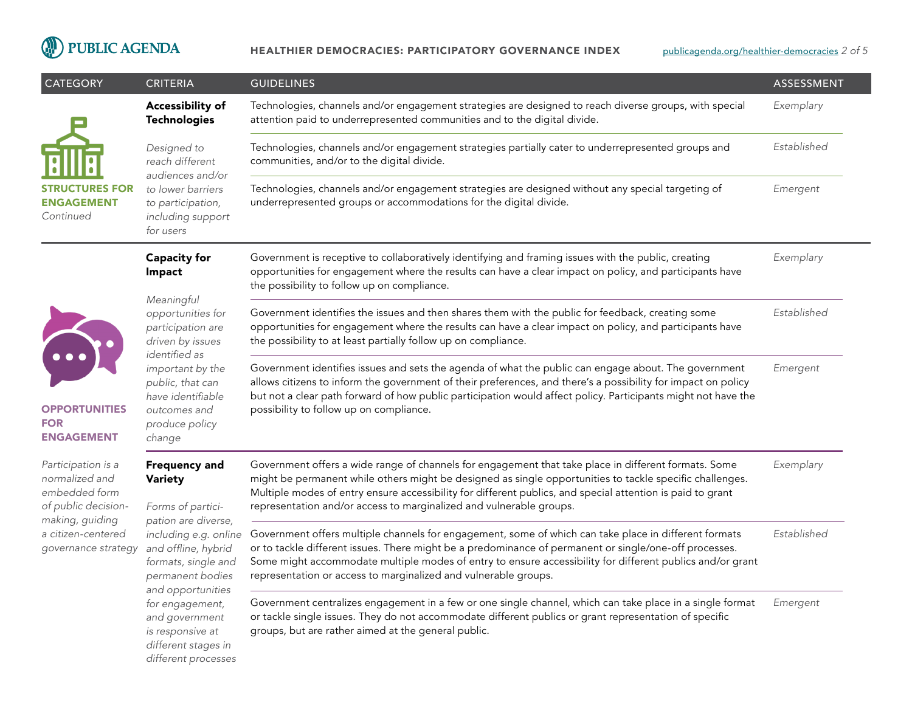# PUBLIC AGENDA

#### HEALTHIER DEMOCRACIES: PARTICIPATORY GOVERNANCE INDEX

| <b>CATEGORY</b>                                                                                                                              | <b>CRITERIA</b>                                                                                                          | <b>GUIDELINES</b>                                                                                                                                                                                                                                                                                                                                                                                     | <b>ASSESSMENT</b> |
|----------------------------------------------------------------------------------------------------------------------------------------------|--------------------------------------------------------------------------------------------------------------------------|-------------------------------------------------------------------------------------------------------------------------------------------------------------------------------------------------------------------------------------------------------------------------------------------------------------------------------------------------------------------------------------------------------|-------------------|
|                                                                                                                                              | Accessibility of<br><b>Technologies</b>                                                                                  | Technologies, channels and/or engagement strategies are designed to reach diverse groups, with special<br>attention paid to underrepresented communities and to the digital divide.                                                                                                                                                                                                                   | Exemplary         |
|                                                                                                                                              | Designed to<br>reach different                                                                                           | Technologies, channels and/or engagement strategies partially cater to underrepresented groups and<br>communities, and/or to the digital divide.                                                                                                                                                                                                                                                      | Established       |
| STRUCTURES FOR<br><b>ENGAGEMENT</b><br>Continued                                                                                             | audiences and/or<br>to lower barriers<br>to participation,<br>including support<br>for users                             | Technologies, channels and/or engagement strategies are designed without any special targeting of<br>underrepresented groups or accommodations for the digital divide.                                                                                                                                                                                                                                | Emergent          |
|                                                                                                                                              | <b>Capacity for</b><br>Impact                                                                                            | Government is receptive to collaboratively identifying and framing issues with the public, creating<br>opportunities for engagement where the results can have a clear impact on policy, and participants have<br>the possibility to follow up on compliance.                                                                                                                                         | Exemplary         |
|                                                                                                                                              | Meaningful<br>opportunities for<br>participation are<br>driven by issues                                                 | Government identifies the issues and then shares them with the public for feedback, creating some<br>opportunities for engagement where the results can have a clear impact on policy, and participants have<br>the possibility to at least partially follow up on compliance.                                                                                                                        | Established       |
| <b>OPPORTUNITIES</b><br><b>FOR</b><br><b>ENGAGEMENT</b>                                                                                      | identified as<br>important by the<br>public, that can<br>have identifiable<br>outcomes and<br>produce policy<br>change   | Government identifies issues and sets the agenda of what the public can engage about. The government<br>allows citizens to inform the government of their preferences, and there's a possibility for impact on policy<br>but not a clear path forward of how public participation would affect policy. Participants might not have the<br>possibility to follow up on compliance.                     | Emergent          |
| Participation is a<br>normalized and<br>embedded form<br>of public decision-<br>making, guiding<br>a citizen-centered<br>governance strategy | <b>Frequency and</b><br>Variety<br>Forms of partici-                                                                     | Government offers a wide range of channels for engagement that take place in different formats. Some<br>might be permanent while others might be designed as single opportunities to tackle specific challenges.<br>Multiple modes of entry ensure accessibility for different publics, and special attention is paid to grant<br>representation and/or access to marginalized and vulnerable groups. | Exemplary         |
|                                                                                                                                              | pation are diverse,<br>including e.g. online<br>and offline, hybrid<br>formats, single and<br>permanent bodies           | Government offers multiple channels for engagement, some of which can take place in different formats<br>or to tackle different issues. There might be a predominance of permanent or single/one-off processes.<br>Some might accommodate multiple modes of entry to ensure accessibility for different publics and/or grant<br>representation or access to marginalized and vulnerable groups.       | Established       |
|                                                                                                                                              | and opportunities<br>for engagement,<br>and government<br>is responsive at<br>different stages in<br>different processes | Government centralizes engagement in a few or one single channel, which can take place in a single format<br>or tackle single issues. They do not accommodate different publics or grant representation of specific<br>groups, but are rather aimed at the general public.                                                                                                                            | Emergent          |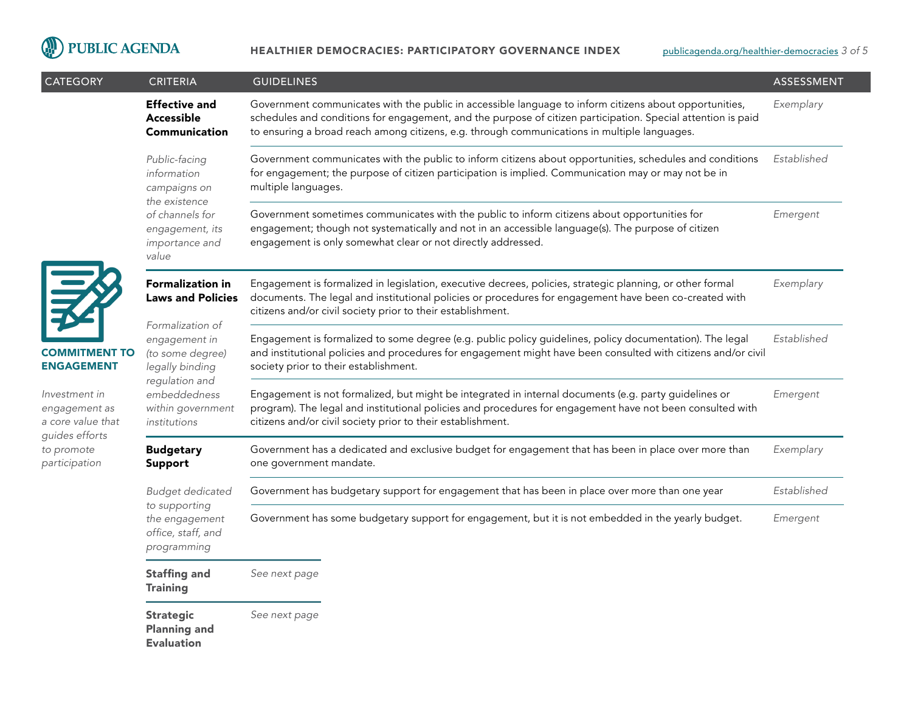

| <b>CATEGORY</b>                                                                                      | <b>CRITERIA</b>                                                                                 | <b>GUIDELINES</b>                                                                                                                                                                                                                                                                                                      | ASSESSMENT  |
|------------------------------------------------------------------------------------------------------|-------------------------------------------------------------------------------------------------|------------------------------------------------------------------------------------------------------------------------------------------------------------------------------------------------------------------------------------------------------------------------------------------------------------------------|-------------|
|                                                                                                      | <b>Effective and</b><br>Accessible<br>Communication                                             | Government communicates with the public in accessible language to inform citizens about opportunities,<br>schedules and conditions for engagement, and the purpose of citizen participation. Special attention is paid<br>to ensuring a broad reach among citizens, e.g. through communications in multiple languages. | Exemplary   |
|                                                                                                      | Public-facing<br>information<br>campaigns on                                                    | Government communicates with the public to inform citizens about opportunities, schedules and conditions<br>for engagement; the purpose of citizen participation is implied. Communication may or may not be in<br>multiple languages.                                                                                 | Established |
|                                                                                                      | the existence<br>of channels for<br>engagement, its<br>importance and<br>value                  | Government sometimes communicates with the public to inform citizens about opportunities for<br>engagement; though not systematically and not in an accessible language(s). The purpose of citizen<br>engagement is only somewhat clear or not directly addressed.                                                     | Emergent    |
| 尾                                                                                                    | <b>Formalization in</b><br><b>Laws and Policies</b>                                             | Engagement is formalized in legislation, executive decrees, policies, strategic planning, or other formal<br>documents. The legal and institutional policies or procedures for engagement have been co-created with<br>citizens and/or civil society prior to their establishment.                                     | Exemplary   |
| <b>COMMITMENT TO</b><br><b>ENGAGEMENT</b>                                                            | Formalization of<br>engagement in<br>(to some degree)<br>legally binding                        | Engagement is formalized to some degree (e.g. public policy guidelines, policy documentation). The legal<br>and institutional policies and procedures for engagement might have been consulted with citizens and/or civil<br>society prior to their establishment.                                                     | Established |
| Investment in<br>engagement as<br>a core value that<br>guides efforts<br>to promote<br>participation | regulation and<br>embeddedness<br>within government<br>institutions                             | Engagement is not formalized, but might be integrated in internal documents (e.g. party guidelines or<br>program). The legal and institutional policies and procedures for engagement have not been consulted with<br>citizens and/or civil society prior to their establishment.                                      | Emergent    |
|                                                                                                      | <b>Budgetary</b><br>Support                                                                     | Government has a dedicated and exclusive budget for engagement that has been in place over more than<br>one government mandate.                                                                                                                                                                                        | Exemplary   |
|                                                                                                      | <b>Budget dedicated</b><br>to supporting<br>the engagement<br>office, staff, and<br>programming | Government has budgetary support for engagement that has been in place over more than one year                                                                                                                                                                                                                         | Established |
|                                                                                                      |                                                                                                 | Government has some budgetary support for engagement, but it is not embedded in the yearly budget.                                                                                                                                                                                                                     | Emergent    |
|                                                                                                      | <b>Staffing and</b><br><b>Training</b>                                                          | See next page                                                                                                                                                                                                                                                                                                          |             |
|                                                                                                      | <b>Strategic</b><br><b>Planning and</b><br><b>Evaluation</b>                                    | See next page                                                                                                                                                                                                                                                                                                          |             |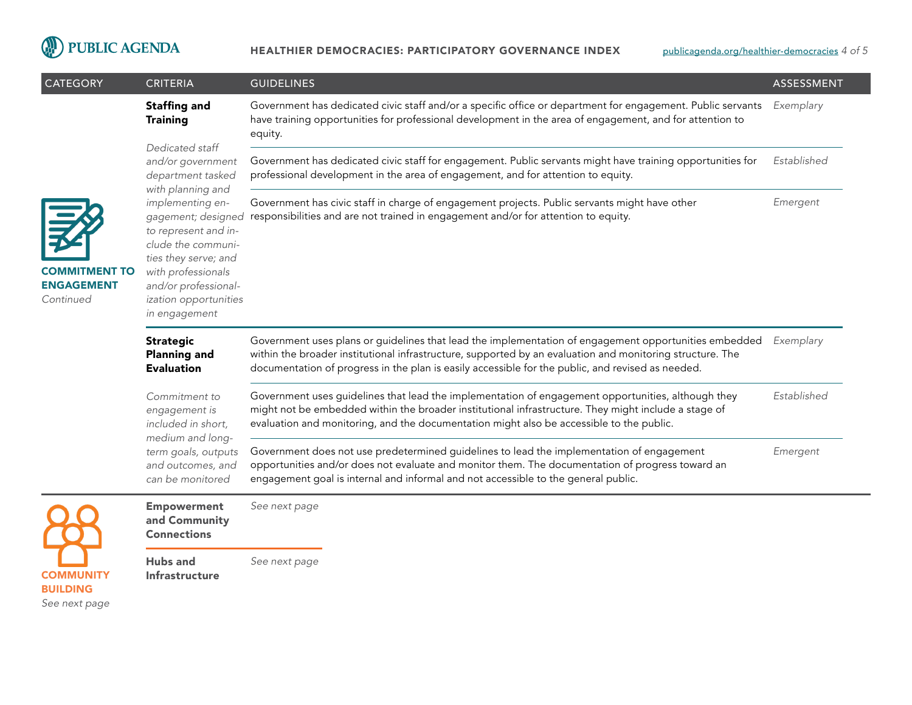

| <b>CATEGORY</b>                                        | <b>CRITERIA</b>                                                                                                                                                                                                           | <b>GUIDELINES</b>                                                                                                                                                                                                                                                                                                       | ASSESSMENT  |
|--------------------------------------------------------|---------------------------------------------------------------------------------------------------------------------------------------------------------------------------------------------------------------------------|-------------------------------------------------------------------------------------------------------------------------------------------------------------------------------------------------------------------------------------------------------------------------------------------------------------------------|-------------|
|                                                        | <b>Staffing and</b><br><b>Training</b>                                                                                                                                                                                    | Government has dedicated civic staff and/or a specific office or department for engagement. Public servants<br>have training opportunities for professional development in the area of engagement, and for attention to<br>equity.                                                                                      | Exemplary   |
|                                                        | Dedicated staff<br>and/or government<br>department tasked                                                                                                                                                                 | Government has dedicated civic staff for engagement. Public servants might have training opportunities for<br>professional development in the area of engagement, and for attention to equity.                                                                                                                          | Established |
| <b>COMMITMENT TO</b><br><b>ENGAGEMENT</b><br>Continued | with planning and<br>implementing en-<br>gagement; designed<br>to represent and in-<br>clude the communi-<br>ties they serve; and<br>with professionals<br>and/or professional-<br>ization opportunities<br>in engagement | Government has civic staff in charge of engagement projects. Public servants might have other<br>responsibilities and are not trained in engagement and/or for attention to equity.                                                                                                                                     | Emergent    |
|                                                        | <b>Strategic</b><br><b>Planning and</b><br><b>Evaluation</b>                                                                                                                                                              | Government uses plans or guidelines that lead the implementation of engagement opportunities embedded<br>within the broader institutional infrastructure, supported by an evaluation and monitoring structure. The<br>documentation of progress in the plan is easily accessible for the public, and revised as needed. | Exemplary   |
|                                                        | Commitment to<br>engagement is<br>included in short,<br>medium and long-<br>term goals, outputs<br>and outcomes, and<br>can be monitored                                                                                  | Government uses guidelines that lead the implementation of engagement opportunities, although they<br>might not be embedded within the broader institutional infrastructure. They might include a stage of<br>evaluation and monitoring, and the documentation might also be accessible to the public.                  | Established |
|                                                        |                                                                                                                                                                                                                           | Government does not use predetermined guidelines to lead the implementation of engagement<br>opportunities and/or does not evaluate and monitor them. The documentation of progress toward an<br>engagement goal is internal and informal and not accessible to the general public.                                     | Emergent    |
|                                                        | <b>Empowerment</b><br>and Community<br><b>Connections</b>                                                                                                                                                                 | See next page                                                                                                                                                                                                                                                                                                           |             |
| <b>COMMUNITY</b>                                       | <b>Hubs</b> and<br><b>Infrastructure</b>                                                                                                                                                                                  | See next page                                                                                                                                                                                                                                                                                                           |             |

BUILDING *See next page*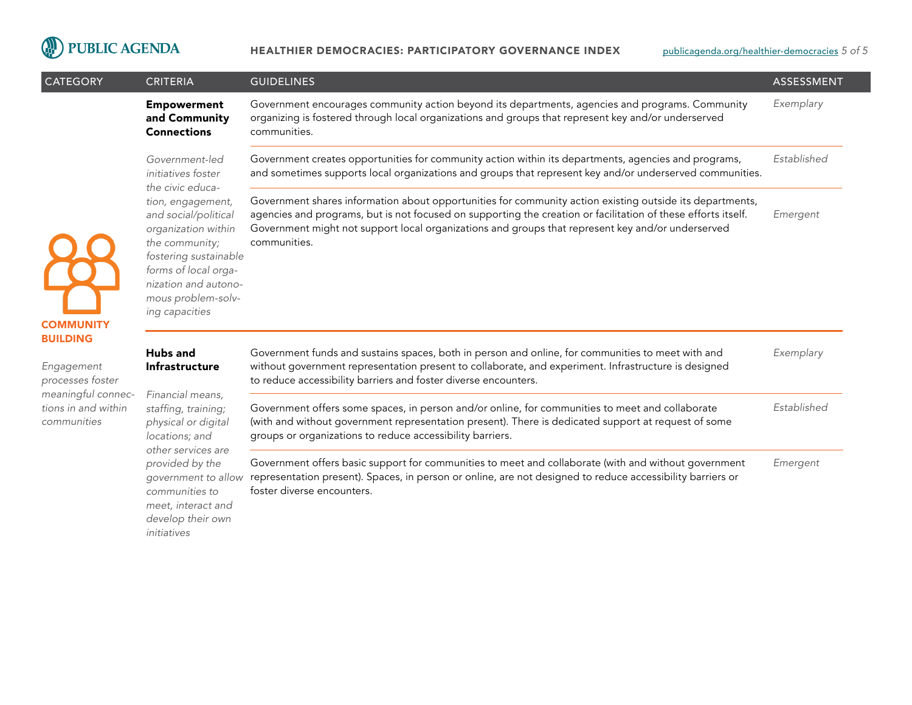

*initiatives*

| <b>CATEGORY</b>                                                                                               | <b>CRITERIA</b>                                                                                                                                         | <b>GUIDELINES</b>                                                                                                                                                                                                                                                                                                                              | ASSESSMENT  |
|---------------------------------------------------------------------------------------------------------------|---------------------------------------------------------------------------------------------------------------------------------------------------------|------------------------------------------------------------------------------------------------------------------------------------------------------------------------------------------------------------------------------------------------------------------------------------------------------------------------------------------------|-------------|
|                                                                                                               | <b>Empowerment</b><br>and Community<br><b>Connections</b>                                                                                               | Government encourages community action beyond its departments, agencies and programs. Community<br>organizing is fostered through local organizations and groups that represent key and/or underserved<br>communities.                                                                                                                         | Exemplary   |
|                                                                                                               | Government-led<br>initiatives foster                                                                                                                    | Government creates opportunities for community action within its departments, agencies and programs,<br>and sometimes supports local organizations and groups that represent key and/or underserved communities.                                                                                                                               | Established |
|                                                                                                               | the civic educa-<br>tion, engagement,<br>and social/political<br>organization within<br>the community;<br>fostering sustainable<br>forms of local orga- | Government shares information about opportunities for community action existing outside its departments,<br>agencies and programs, but is not focused on supporting the creation or facilitation of these efforts itself.<br>Government might not support local organizations and groups that represent key and/or underserved<br>communities. | Emergent    |
| <b>COMMUNITY</b>                                                                                              | nization and autono-<br>mous problem-solv-<br>ing capacities                                                                                            |                                                                                                                                                                                                                                                                                                                                                |             |
| <b>BUILDING</b><br>Engagement<br>processes foster<br>meaningful connec-<br>tions in and within<br>communities | <b>Hubs and</b><br>Infrastructure<br>Financial means,<br>staffing, training;<br>physical or digital<br>locations; and<br>other services are             | Government funds and sustains spaces, both in person and online, for communities to meet with and<br>without government representation present to collaborate, and experiment. Infrastructure is designed<br>to reduce accessibility barriers and foster diverse encounters.                                                                   | Exemplary   |
|                                                                                                               |                                                                                                                                                         | Government offers some spaces, in person and/or online, for communities to meet and collaborate<br>(with and without government representation present). There is dedicated support at request of some<br>groups or organizations to reduce accessibility barriers.                                                                            | Established |
|                                                                                                               | provided by the<br>government to allow<br>communities to<br>meet, interact and<br>develop their own                                                     | Government offers basic support for communities to meet and collaborate (with and without government<br>representation present). Spaces, in person or online, are not designed to reduce accessibility barriers or<br>foster diverse encounters.                                                                                               | Emergent    |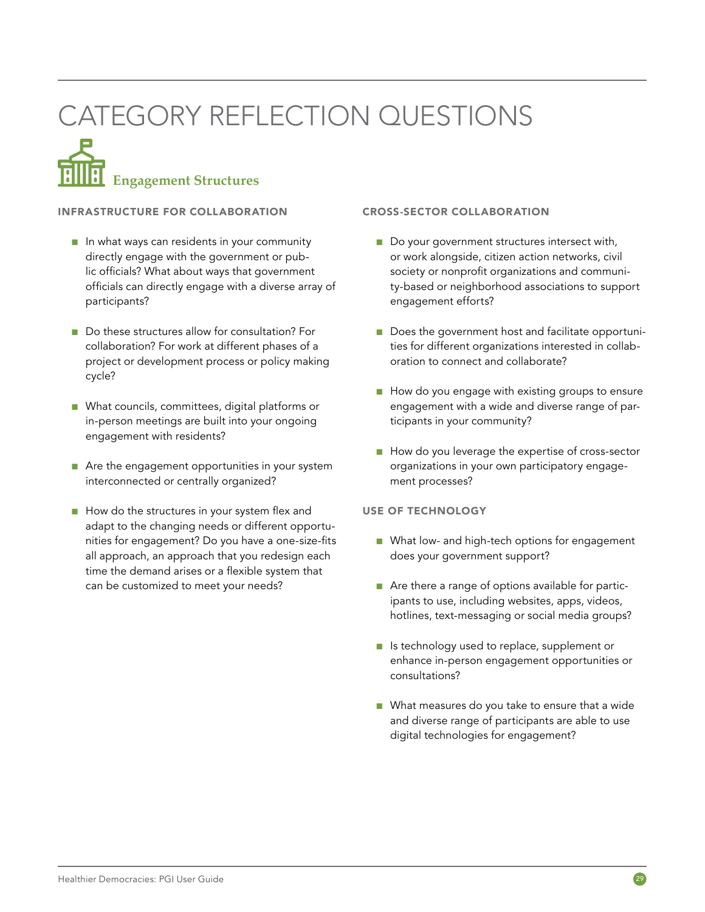# CATEGORY REFLECTION QUESTIONS

# **Engagement Structures**

### INFRASTRUCTURE FOR COLLABORATION

- In what ways can residents in your community directly engage with the government or public officials? What about ways that government officials can directly engage with a diverse array of participants?
- Do these structures allow for consultation? For collaboration? For work at different phases of a project or development process or policy making cycle?
- What councils, committees, digital platforms or in-person meetings are built into your ongoing engagement with residents?
- Are the engagement opportunities in your system interconnected or centrally organized?
- How do the structures in your system flex and adapt to the changing needs or different opportunities for engagement? Do you have a one-size-fits all approach, an approach that you redesign each time the demand arises or a flexible system that can be customized to meet your needs?

### CROSS-SECTOR COLLABORATION

- Do your government structures intersect with, or work alongside, citizen action networks, civil society or nonprofit organizations and community-based or neighborhood associations to support engagement efforts?
- Does the government host and facilitate opportunities for different organizations interested in collaboration to connect and collaborate?
- How do you engage with existing groups to ensure engagement with a wide and diverse range of participants in your community?
- How do you leverage the expertise of cross-sector organizations in your own participatory engagement processes?

### USE OF TECHNOLOGY

- What low- and high-tech options for engagement does your government support?
- Are there a range of options available for participants to use, including websites, apps, videos, hotlines, text-messaging or social media groups?
- Is technology used to replace, supplement or enhance in-person engagement opportunities or consultations?
- What measures do you take to ensure that a wide and diverse range of participants are able to use digital technologies for engagement?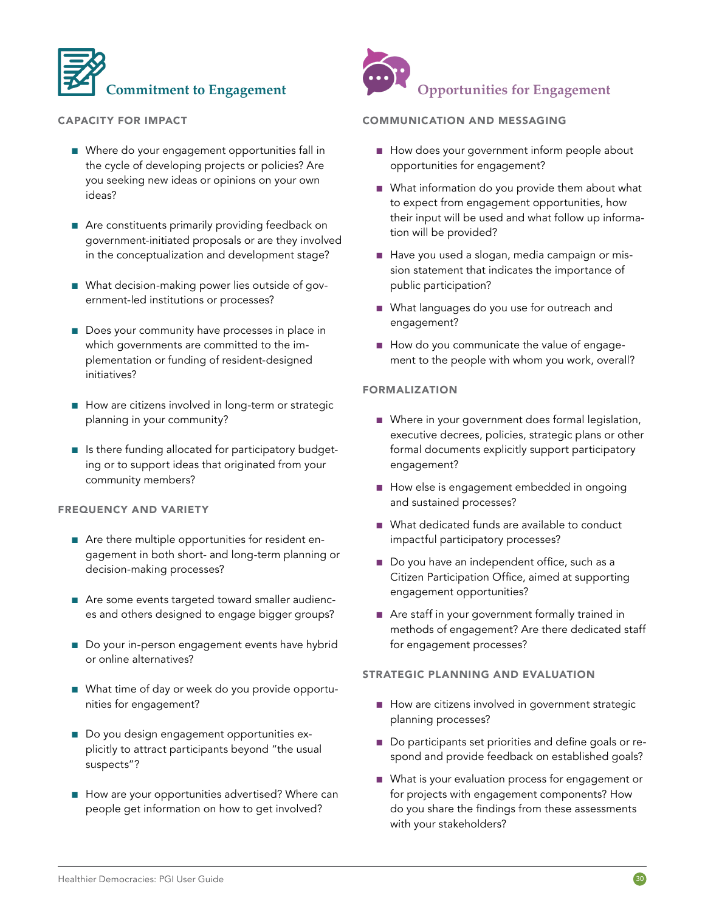

### CAPACITY FOR IMPACT

- Where do your engagement opportunities fall in the cycle of developing projects or policies? Are you seeking new ideas or opinions on your own ideas?
- Are constituents primarily providing feedback on government-initiated proposals or are they involved in the conceptualization and development stage?
- What decision-making power lies outside of government-led institutions or processes?
- Does your community have processes in place in which governments are committed to the implementation or funding of resident-designed initiatives?
- How are citizens involved in long-term or strategic planning in your community?
- Is there funding allocated for participatory budgeting or to support ideas that originated from your community members?

#### FREQUENCY AND VARIETY

- Are there multiple opportunities for resident engagement in both short- and long-term planning or decision-making processes?
- Are some events targeted toward smaller audiences and others designed to engage bigger groups?
- Do your in-person engagement events have hybrid or online alternatives?
- What time of day or week do you provide opportunities for engagement?
- Do you design engagement opportunities explicitly to attract participants beyond "the usual suspects"?
- How are your opportunities advertised? Where can people get information on how to get involved?



### COMMUNICATION AND MESSAGING

- How does your government inform people about opportunities for engagement?
- What information do you provide them about what to expect from engagement opportunities, how their input will be used and what follow up information will be provided?
- Have you used a slogan, media campaign or mission statement that indicates the importance of public participation?
- What languages do you use for outreach and engagement?
- How do you communicate the value of engagement to the people with whom you work, overall?

### FORMALIZATION

- Where in your government does formal legislation, executive decrees, policies, strategic plans or other formal documents explicitly support participatory engagement?
- How else is engagement embedded in ongoing and sustained processes?
- What dedicated funds are available to conduct impactful participatory processes?
- Do you have an independent office, such as a Citizen Participation Office, aimed at supporting engagement opportunities?
- Are staff in your government formally trained in methods of engagement? Are there dedicated staff for engagement processes?

### STRATEGIC PLANNING AND EVALUATION

- How are citizens involved in government strategic planning processes?
- Do participants set priorities and define goals or respond and provide feedback on established goals?
- What is your evaluation process for engagement or for projects with engagement components? How do you share the findings from these assessments with your stakeholders?